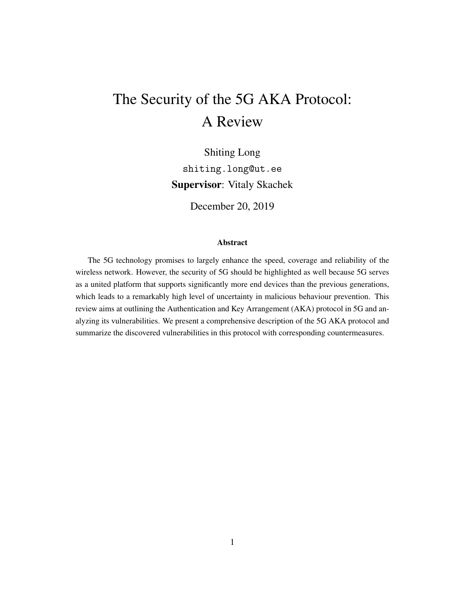# The Security of the 5G AKA Protocol: A Review

Shiting Long shiting.long@ut.ee Supervisor: Vitaly Skachek

December 20, 2019

#### Abstract

The 5G technology promises to largely enhance the speed, coverage and reliability of the wireless network. However, the security of 5G should be highlighted as well because 5G serves as a united platform that supports significantly more end devices than the previous generations, which leads to a remarkably high level of uncertainty in malicious behaviour prevention. This review aims at outlining the Authentication and Key Arrangement (AKA) protocol in 5G and analyzing its vulnerabilities. We present a comprehensive description of the 5G AKA protocol and summarize the discovered vulnerabilities in this protocol with corresponding countermeasures.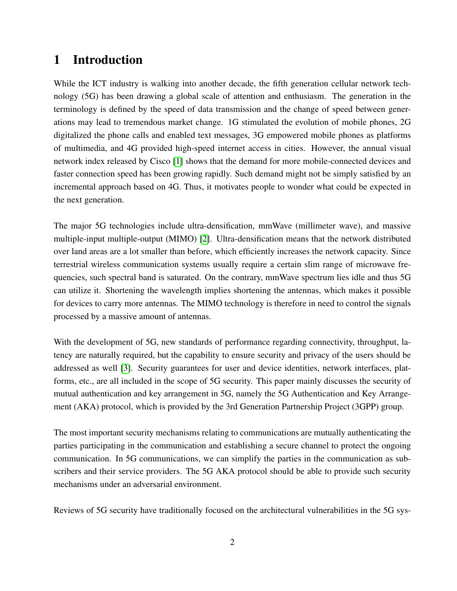# 1 Introduction

While the ICT industry is walking into another decade, the fifth generation cellular network technology (5G) has been drawing a global scale of attention and enthusiasm. The generation in the terminology is defined by the speed of data transmission and the change of speed between generations may lead to tremendous market change. 1G stimulated the evolution of mobile phones, 2G digitalized the phone calls and enabled text messages, 3G empowered mobile phones as platforms of multimedia, and 4G provided high-speed internet access in cities. However, the annual visual network index released by Cisco [\[1\]](#page-11-0) shows that the demand for more mobile-connected devices and faster connection speed has been growing rapidly. Such demand might not be simply satisfied by an incremental approach based on 4G. Thus, it motivates people to wonder what could be expected in the next generation.

The major 5G technologies include ultra-densification, mmWave (millimeter wave), and massive multiple-input multiple-output (MIMO) [\[2\]](#page-11-1). Ultra-densification means that the network distributed over land areas are a lot smaller than before, which efficiently increases the network capacity. Since terrestrial wireless communication systems usually require a certain slim range of microwave frequencies, such spectral band is saturated. On the contrary, mmWave spectrum lies idle and thus 5G can utilize it. Shortening the wavelength implies shortening the antennas, which makes it possible for devices to carry more antennas. The MIMO technology is therefore in need to control the signals processed by a massive amount of antennas.

With the development of 5G, new standards of performance regarding connectivity, throughput, latency are naturally required, but the capability to ensure security and privacy of the users should be addressed as well [\[3\]](#page-11-2). Security guarantees for user and device identities, network interfaces, platforms, etc., are all included in the scope of 5G security. This paper mainly discusses the security of mutual authentication and key arrangement in 5G, namely the 5G Authentication and Key Arrangement (AKA) protocol, which is provided by the 3rd Generation Partnership Project (3GPP) group.

The most important security mechanisms relating to communications are mutually authenticating the parties participating in the communication and establishing a secure channel to protect the ongoing communication. In 5G communications, we can simplify the parties in the communication as subscribers and their service providers. The 5G AKA protocol should be able to provide such security mechanisms under an adversarial environment.

Reviews of 5G security have traditionally focused on the architectural vulnerabilities in the 5G sys-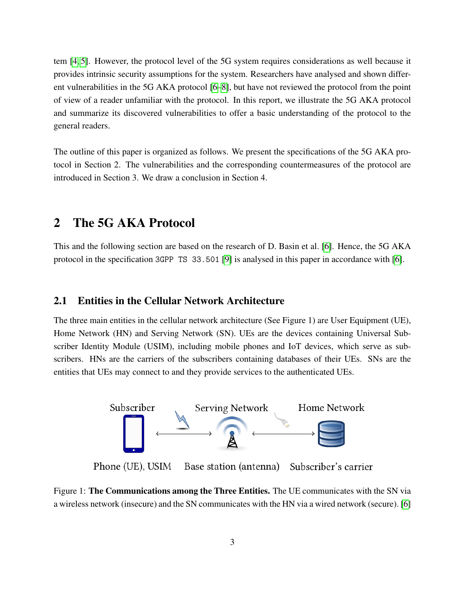tem [\[4,](#page-11-3) [5\]](#page-11-4). However, the protocol level of the 5G system requires considerations as well because it provides intrinsic security assumptions for the system. Researchers have analysed and shown different vulnerabilities in the 5G AKA protocol [\[6](#page-11-5)[–8\]](#page-11-6), but have not reviewed the protocol from the point of view of a reader unfamiliar with the protocol. In this report, we illustrate the 5G AKA protocol and summarize its discovered vulnerabilities to offer a basic understanding of the protocol to the general readers.

The outline of this paper is organized as follows. We present the specifications of the 5G AKA protocol in Section 2. The vulnerabilities and the corresponding countermeasures of the protocol are introduced in Section 3. We draw a conclusion in Section 4.

# 2 The 5G AKA Protocol

This and the following section are based on the research of D. Basin et al. [\[6\]](#page-11-5). Hence, the 5G AKA protocol in the specification 3GPP TS 33.501 [\[9\]](#page-11-7) is analysed in this paper in accordance with [\[6\]](#page-11-5).

### 2.1 Entities in the Cellular Network Architecture

The three main entities in the cellular network architecture (See Figure 1) are User Equipment (UE), Home Network (HN) and Serving Network (SN). UEs are the devices containing Universal Subscriber Identity Module (USIM), including mobile phones and IoT devices, which serve as subscribers. HNs are the carriers of the subscribers containing databases of their UEs. SNs are the entities that UEs may connect to and they provide services to the authenticated UEs.



Figure 1: The Communications among the Three Entities. The UE communicates with the SN via a wireless network (insecure) and the SN communicates with the HN via a wired network (secure). [\[6\]](#page-11-5)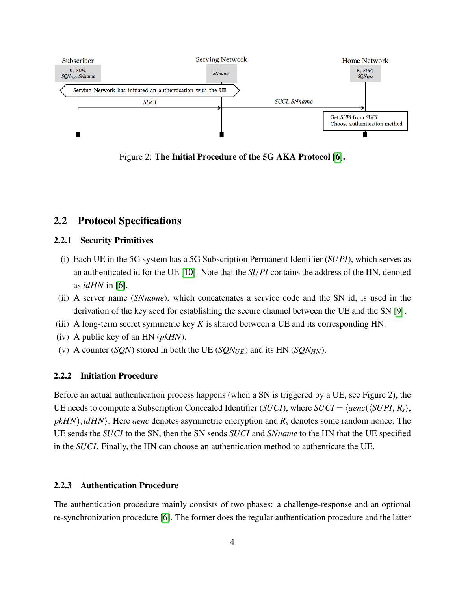

Figure 2: The Initial Procedure of the 5G AKA Protocol [\[6\]](#page-11-5).

### 2.2 Protocol Specifications

#### 2.2.1 Security Primitives

- (i) Each UE in the 5G system has a 5G Subscription Permanent Identifier (*SUPI*), which serves as an authenticated id for the UE [\[10\]](#page-11-8). Note that the *SUPI* contains the address of the HN, denoted as *idHN* in [\[6\]](#page-11-5).
- (ii) A server name (*SNname*), which concatenates a service code and the SN id, is used in the derivation of the key seed for establishing the secure channel between the UE and the SN [\[9\]](#page-11-7).
- (iii) A long-term secret symmetric key *K* is shared between a UE and its corresponding HN.
- (iv) A public key of an HN (*pkHN*).
- (v) A counter (*SQN*) stored in both the UE (*SQN<sub>UE</sub>*) and its HN (*SQN<sub>HN</sub>*).

#### 2.2.2 Initiation Procedure

Before an actual authentication process happens (when a SN is triggered by a UE, see Figure 2), the UE needs to compute a Subscription Concealed Identifier (*SUCI*), where *SUCI* =  $\langle \text{aenc}(\langle \text{SUPI}, R_s \rangle, \rangle)$  $pkHN$ , *idHN*. Here *aenc* denotes asymmetric encryption and  $R<sub>s</sub>$  denotes some random nonce. The UE sends the *SUCI* to the SN, then the SN sends *SUCI* and *SNname* to the HN that the UE specified in the *SUCI*. Finally, the HN can choose an authentication method to authenticate the UE.

#### 2.2.3 Authentication Procedure

The authentication procedure mainly consists of two phases: a challenge-response and an optional re-synchronization procedure [\[6\]](#page-11-5). The former does the regular authentication procedure and the latter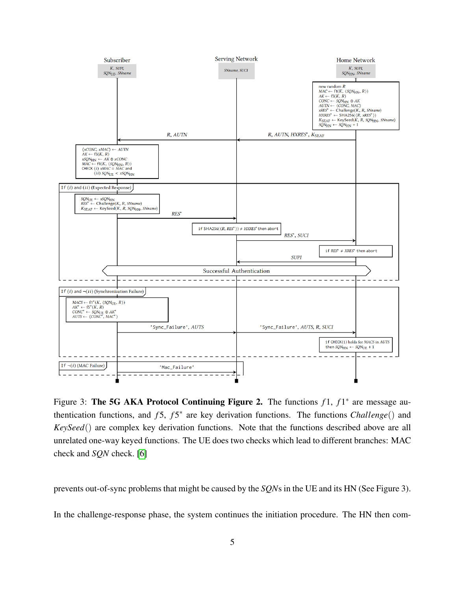

Figure 3: The 5G AKA Protocol Continuing Figure 2. The functions  $f1$ ,  $f1^*$  are message authentication functions, and *f*5, *f*5<sup>\*</sup> are key derivation functions. The functions *Challenge*() and *KeySeed*() are complex key derivation functions. Note that the functions described above are all unrelated one-way keyed functions. The UE does two checks which lead to different branches: MAC check and *SQN* check. [\[6\]](#page-11-5)

prevents out-of-sync problems that might be caused by the *SQN*s in the UE and its HN (See Figure 3).

In the challenge-response phase, the system continues the initiation procedure. The HN then com-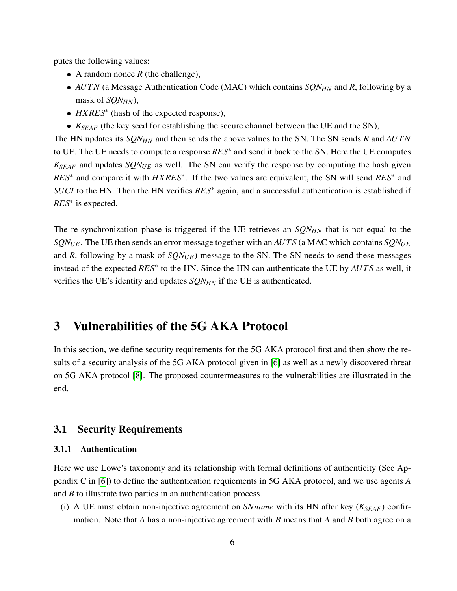putes the following values:

- A random nonce *R* (the challenge),
- *AUTN* (a Message Authentication Code (MAC) which contains *SQN<sub>HN</sub>* and *R*, following by a mask of *SQNHN*),
- *HXRES*<sup>∗</sup> (hash of the expected response),
- *KSEAF* (the key seed for establishing the secure channel between the UE and the SN),

The HN updates its *SQNHN* and then sends the above values to the SN. The SN sends *R* and *AUTN* to UE. The UE needs to compute a response *RES*<sup>∗</sup> and send it back to the SN. Here the UE computes  $K_{SEAF}$  and updates  $SQN_{UE}$  as well. The SN can verify the response by computing the hash given *RES*<sup>∗</sup> and compare it with *HXRES*<sup>∗</sup> . If the two values are equivalent, the SN will send *RES*<sup>∗</sup> and *SUCI* to the HN. Then the HN verifies *RES*<sup>∗</sup> again, and a successful authentication is established if *RES*<sup>∗</sup> is expected.

The re-synchronization phase is triggered if the UE retrieves an *SQNHN* that is not equal to the *SQNUE*. The UE then sends an error message together with an *AUT S* (a MAC which contains *SQNUE* and *R*, following by a mask of  $SQN<sub>UE</sub>$ ) message to the SN. The SN needs to send these messages instead of the expected *RES*<sup>∗</sup> to the HN. Since the HN can authenticate the UE by *AUT S* as well, it verifies the UE's identity and updates *SQNHN* if the UE is authenticated.

# 3 Vulnerabilities of the 5G AKA Protocol

In this section, we define security requirements for the 5G AKA protocol first and then show the results of a security analysis of the 5G AKA protocol given in [\[6\]](#page-11-5) as well as a newly discovered threat on 5G AKA protocol [\[8\]](#page-11-6). The proposed countermeasures to the vulnerabilities are illustrated in the end.

### 3.1 Security Requirements

#### 3.1.1 Authentication

Here we use Lowe's taxonomy and its relationship with formal definitions of authenticity (See Appendix C in [\[6\]](#page-11-5)) to define the authentication requiements in 5G AKA protocol, and we use agents *A* and *B* to illustrate two parties in an authentication process.

(i) A UE must obtain non-injective agreement on *SNname* with its HN after key ( $K_{SEAF}$ ) confirmation. Note that *A* has a non-injective agreement with *B* means that *A* and *B* both agree on a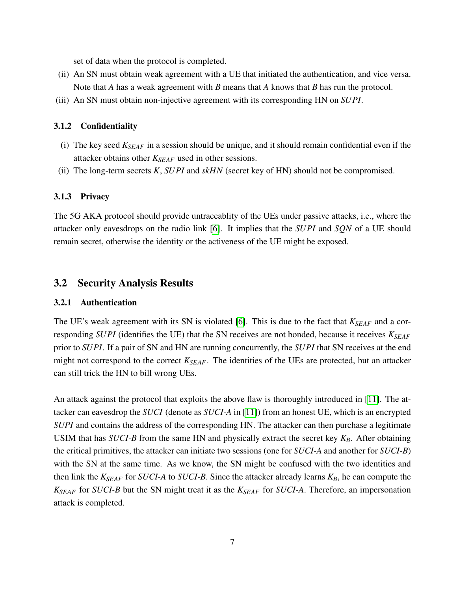set of data when the protocol is completed.

- (ii) An SN must obtain weak agreement with a UE that initiated the authentication, and vice versa. Note that *A* has a weak agreement with *B* means that *A* knows that *B* has run the protocol.
- (iii) An SN must obtain non-injective agreement with its corresponding HN on *SUPI*.

#### 3.1.2 Confidentiality

- (i) The key seed *KSEAF* in a session should be unique, and it should remain confidential even if the attacker obtains other *KSEAF* used in other sessions.
- (ii) The long-term secrets *K*, *SUPI* and *skHN* (secret key of HN) should not be compromised.

#### 3.1.3 Privacy

The 5G AKA protocol should provide untraceablity of the UEs under passive attacks, i.e., where the attacker only eavesdrops on the radio link [\[6\]](#page-11-5). It implies that the *SUPI* and *SQN* of a UE should remain secret, otherwise the identity or the activeness of the UE might be exposed.

### 3.2 Security Analysis Results

#### 3.2.1 Authentication

The UE's weak agreement with its SN is violated [\[6\]](#page-11-5). This is due to the fact that *KSEAF* and a corresponding *SUPI* (identifies the UE) that the SN receives are not bonded, because it receives *KSEAF* prior to *SUPI*. If a pair of SN and HN are running concurrently, the *SUPI* that SN receives at the end might not correspond to the correct *KSEAF*. The identities of the UEs are protected, but an attacker can still trick the HN to bill wrong UEs.

An attack against the protocol that exploits the above flaw is thoroughly introduced in [\[11\]](#page-11-9). The attacker can eavesdrop the *SUCI* (denote as *SUCI-A* in [\[11\]](#page-11-9)) from an honest UE, which is an encrypted *SUPI* and contains the address of the corresponding HN. The attacker can then purchase a legitimate USIM that has *SUCI-B* from the same HN and physically extract the secret key *KB*. After obtaining the critical primitives, the attacker can initiate two sessions (one for *SUCI-A* and another for *SUCI-B*) with the SN at the same time. As we know, the SN might be confused with the two identities and then link the  $K_{SEAF}$  for *SUCI-A* to *SUCI-B*. Since the attacker already learns  $K_B$ , he can compute the *KSEAF* for *SUCI-B* but the SN might treat it as the *KSEAF* for *SUCI-A*. Therefore, an impersonation attack is completed.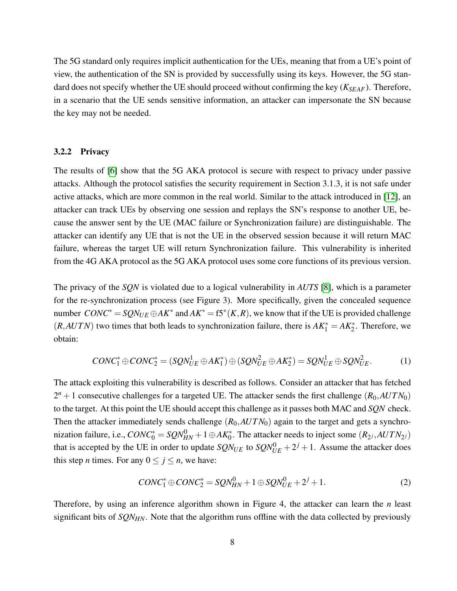The 5G standard only requires implicit authentication for the UEs, meaning that from a UE's point of view, the authentication of the SN is provided by successfully using its keys. However, the 5G standard does not specify whether the UE should proceed without confirming the key ( $K_{SEAF}$ ). Therefore, in a scenario that the UE sends sensitive information, an attacker can impersonate the SN because the key may not be needed.

#### 3.2.2 Privacy

The results of [\[6\]](#page-11-5) show that the 5G AKA protocol is secure with respect to privacy under passive attacks. Although the protocol satisfies the security requirement in Section 3.1.3, it is not safe under active attacks, which are more common in the real world. Similar to the attack introduced in [\[12\]](#page-11-10), an attacker can track UEs by observing one session and replays the SN's response to another UE, because the answer sent by the UE (MAC failure or Synchronization failure) are distinguishable. The attacker can identify any UE that is not the UE in the observed session because it will return MAC failure, whereas the target UE will return Synchronization failure. This vulnerability is inherited from the 4G AKA protocol as the 5G AKA protocol uses some core functions of its previous version.

The privacy of the *SQN* is violated due to a logical vulnerability in *AUTS* [\[8\]](#page-11-6), which is a parameter for the re-synchronization process (see Figure 3). More specifically, given the concealed sequence number  $CONC^* = SQN_{UE} \oplus AK^*$  and  $AK^* = f5^*(K,R)$ , we know that if the UE is provided challenge  $(R, AUTN)$  two times that both leads to synchronization failure, there is  $AK_1^* = AK_2^*$ . Therefore, we obtain:

$$
CONC_1^* \oplus CONC_2^* = (SQN_{UE}^1 \oplus AK_1^*) \oplus (SQN_{UE}^2 \oplus AK_2^*) = SQN_{UE}^1 \oplus SQN_{UE}^2.
$$
 (1)

The attack exploiting this vulnerability is described as follows. Consider an attacker that has fetched  $2^{n} + 1$  consecutive challenges for a targeted UE. The attacker sends the first challenge  $(R_0, AUTN_0)$ to the target. At this point the UE should accept this challenge as it passes both MAC and *SQN* check. Then the attacker immediately sends challenge  $(R_0, AUTN_0)$  again to the target and gets a synchronization failure, i.e.,  $CONC_0^* = SQN_{HN}^0 + 1 \oplus AK_0^*$ . The attacker needs to inject some  $(R_{2^j}, AUTN_{2^j})$ that is accepted by the UE in order to update  $SQN_{UE}$  to  $SQN_{UE}^0 + 2^j + 1$ . Assume the attacker does this step *n* times. For any  $0 \le j \le n$ , we have:

$$
CONC1* \oplus CONC2* = SQNHN0 + 1 \oplus SQNUE0 + 2j + 1.
$$
 (2)

Therefore, by using an inference algorithm shown in Figure 4, the attacker can learn the *n* least significant bits of *SQNHN*. Note that the algorithm runs offline with the data collected by previously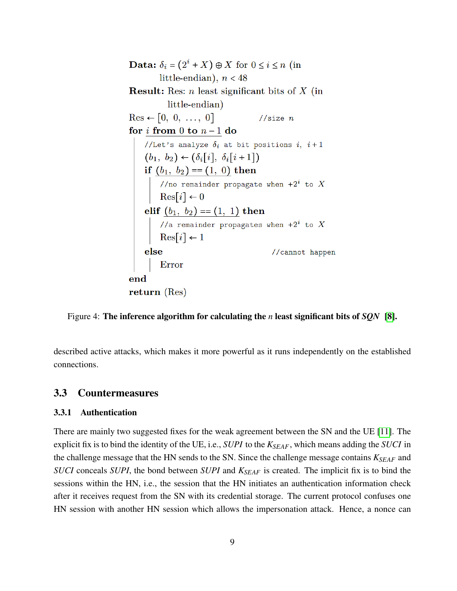**Data:**  $\delta_i = (2^i + X) \oplus X$  for  $0 \le i \le n$  (in little-endian),  $n < 48$ **Result:** Res: *n* least significant bits of  $X$  (in little-endian)  $\text{Res} \leftarrow [0, 0, \ldots, 0]$ //size  $n$ for *i* from 0 to  $n-1$  do //Let's analyze  $\delta_i$  at bit positions  $i, i+1$ //Let's analyze  $\delta_i$  at bit positions  $i$ ,  $i+1$ <br>  $(b_1, b_2) \leftarrow (\delta_i[i], \delta_i[i+1])$ <br>
if  $(b_1, b_2) = (1, 0)$  then<br>
//no remainder propagate when  $+2^i$  to X<br>
Res[i]  $\leftarrow 0$ <br>
elif  $(b_1, b_2) = (1, 1)$  then<br>
//a remainder propagates whe //cannot happen  $_{\rm else}$ Error end return  $(Res)$ 

Figure 4: The inference algorithm for calculating the *n* least significant bits of *SQN* [\[8\]](#page-11-6).

described active attacks, which makes it more powerful as it runs independently on the established connections.

### 3.3 Countermeasures

#### 3.3.1 Authentication

There are mainly two suggested fixes for the weak agreement between the SN and the UE [\[11\]](#page-11-9). The explicit fix is to bind the identity of the UE, i.e., *SUPI* to the *KSEAF*, which means adding the *SUCI* in the challenge message that the HN sends to the SN. Since the challenge message contains *KSEAF* and *SUCI* conceals *SUPI*, the bond between *SUPI* and *KSEAF* is created. The implicit fix is to bind the sessions within the HN, i.e., the session that the HN initiates an authentication information check after it receives request from the SN with its credential storage. The current protocol confuses one HN session with another HN session which allows the impersonation attack. Hence, a nonce can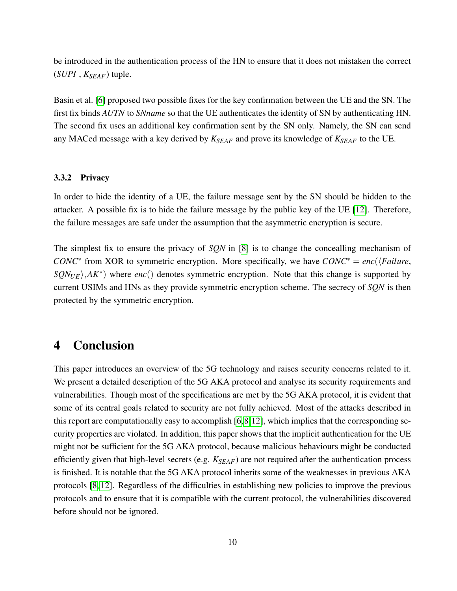be introduced in the authentication process of the HN to ensure that it does not mistaken the correct  $(SUPI, K_{SEAF})$  tuple.

Basin et al. [\[6\]](#page-11-5) proposed two possible fixes for the key confirmation between the UE and the SN. The first fix binds *AUTN* to *SNname* so that the UE authenticates the identity of SN by authenticating HN. The second fix uses an additional key confirmation sent by the SN only. Namely, the SN can send any MACed message with a key derived by *KSEAF* and prove its knowledge of *KSEAF* to the UE.

#### 3.3.2 Privacy

In order to hide the identity of a UE, the failure message sent by the SN should be hidden to the attacker. A possible fix is to hide the failure message by the public key of the UE [\[12\]](#page-11-10). Therefore, the failure messages are safe under the assumption that the asymmetric encryption is secure.

The simplest fix to ensure the privacy of *SQN* in [\[8\]](#page-11-6) is to change the concealling mechanism of *CONC*<sup>∗</sup> from XOR to symmetric encryption. More specifically, we have  $CONC^* = enc(\sqrt{Failure})$ , *SQN<sub>UE</sub>*<sup>}</sup>,*AK*<sup>\*</sup>) where *enc*() denotes symmetric encryption. Note that this change is supported by current USIMs and HNs as they provide symmetric encryption scheme. The secrecy of *SQN* is then protected by the symmetric encryption.

# 4 Conclusion

This paper introduces an overview of the 5G technology and raises security concerns related to it. We present a detailed description of the 5G AKA protocol and analyse its security requirements and vulnerabilities. Though most of the specifications are met by the 5G AKA protocol, it is evident that some of its central goals related to security are not fully achieved. Most of the attacks described in this report are computationally easy to accomplish  $[6,8,12]$  $[6,8,12]$  $[6,8,12]$ , which implies that the corresponding security properties are violated. In addition, this paper shows that the implicit authentication for the UE might not be sufficient for the 5G AKA protocol, because malicious behaviours might be conducted efficiently given that high-level secrets (e.g. *KSEAF*) are not required after the authentication process is finished. It is notable that the 5G AKA protocol inherits some of the weaknesses in previous AKA protocols [\[8,](#page-11-6) [12\]](#page-11-10). Regardless of the difficulties in establishing new policies to improve the previous protocols and to ensure that it is compatible with the current protocol, the vulnerabilities discovered before should not be ignored.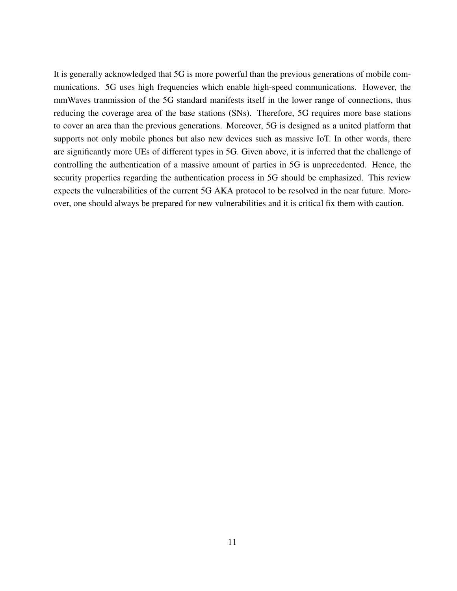It is generally acknowledged that 5G is more powerful than the previous generations of mobile communications. 5G uses high frequencies which enable high-speed communications. However, the mmWaves tranmission of the 5G standard manifests itself in the lower range of connections, thus reducing the coverage area of the base stations (SNs). Therefore, 5G requires more base stations to cover an area than the previous generations. Moreover, 5G is designed as a united platform that supports not only mobile phones but also new devices such as massive IoT. In other words, there are significantly more UEs of different types in 5G. Given above, it is inferred that the challenge of controlling the authentication of a massive amount of parties in 5G is unprecedented. Hence, the security properties regarding the authentication process in 5G should be emphasized. This review expects the vulnerabilities of the current 5G AKA protocol to be resolved in the near future. Moreover, one should always be prepared for new vulnerabilities and it is critical fix them with caution.